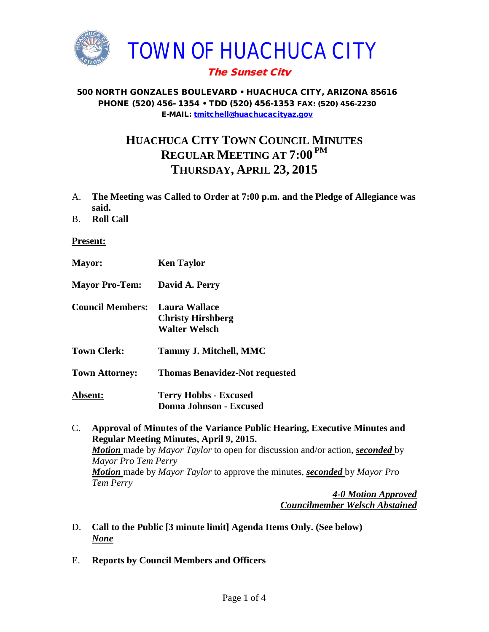

# The Sunset City

#### 500 NORTH GONZALES BOULEVARD • HUACHUCA CITY, ARIZONA 85616 PHONE (520) 456- 1354 • TDD (520) 456-1353 FAX: (520) 456-2230 E-MAIL: [tmitchell@huachucacityaz.gov](mailto:tmitchell@huachucacityaz.gov)

# **HUACHUCA CITY TOWN COUNCIL MINUTES REGULAR MEETING AT 7:00 PM THURSDAY, APRIL 23, 2015**

- A. **The Meeting was Called to Order at 7:00 p.m. and the Pledge of Allegiance was said.**
- B. **Roll Call**

#### **Present:**

| <b>Mayor:</b>           | <b>Ken Taylor</b>                                                 |
|-------------------------|-------------------------------------------------------------------|
| <b>Mayor Pro-Tem:</b>   | David A. Perry                                                    |
| <b>Council Members:</b> | Laura Wallace<br><b>Christy Hirshberg</b><br><b>Walter Welsch</b> |
| <b>Town Clerk:</b>      | <b>Tammy J. Mitchell, MMC</b>                                     |
| <b>Town Attorney:</b>   | <b>Thomas Benavidez-Not requested</b>                             |
| <b>Absent:</b>          | <b>Terry Hobbs - Excused</b><br>Donna Johnson - Excused           |

C. **Approval of Minutes of the Variance Public Hearing, Executive Minutes and Regular Meeting Minutes, April 9, 2015.**  *Motion* made by *Mayor Taylor* to open for discussion and/or action, *seconded* by *Mayor Pro Tem Perry Motion* made by *Mayor Taylor* to approve the minutes, *seconded* by *Mayor Pro Tem Perry*

*4-0 Motion Approved Councilmember Welsch Abstained*

- D. **Call to the Public [3 minute limit] Agenda Items Only. (See below)** *None*
- E. **Reports by Council Members and Officers**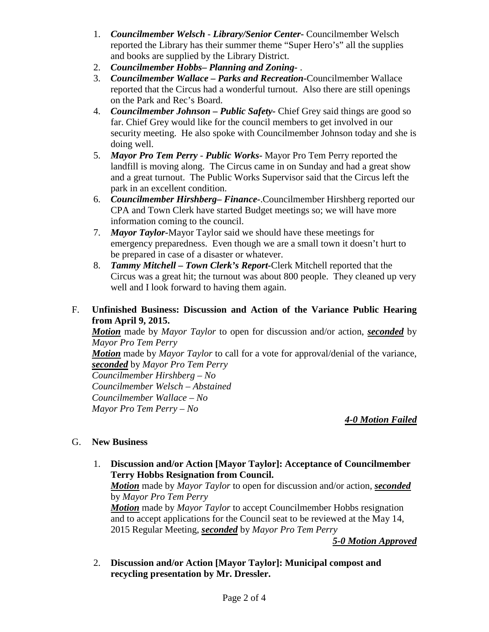- 1. *Councilmember Welsch - Library/Senior Center***-** Councilmember Welsch reported the Library has their summer theme "Super Hero's" all the supplies and books are supplied by the Library District.
- 2. *Councilmember Hobbs***–** *Planning and Zoning-* .
- 3. *Councilmember Wallace* **–** *Parks and Recreation***-**Councilmember Wallace reported that the Circus had a wonderful turnout. Also there are still openings on the Park and Rec's Board.
- 4. *Councilmember Johnson – Public Safety-* Chief Grey said things are good so far. Chief Grey would like for the council members to get involved in our security meeting. He also spoke with Councilmember Johnson today and she is doing well.
- 5. *Mayor Pro Tem Perry Public Works-* Mayor Pro Tem Perry reported the landfill is moving along. The Circus came in on Sunday and had a great show and a great turnout. The Public Works Supervisor said that the Circus left the park in an excellent condition.
- 6. *Councilmember Hirshberg***–** *Finance-*.Councilmember Hirshberg reported our CPA and Town Clerk have started Budget meetings so; we will have more information coming to the council.
- 7. *Mayor Taylor-*Mayor Taylor said we should have these meetings for emergency preparedness. Even though we are a small town it doesn't hurt to be prepared in case of a disaster or whatever.
- 8. *Tammy Mitchell – Town Clerk's Report-*Clerk Mitchell reported that the Circus was a great hit; the turnout was about 800 people. They cleaned up very well and I look forward to having them again.

### F. **Unfinished Business: Discussion and Action of the Variance Public Hearing from April 9, 2015.**

*Motion* made by *Mayor Taylor* to open for discussion and/or action, *seconded* by *Mayor Pro Tem Perry*

*Motion* made by *Mayor Taylor* to call for a vote for approval/denial of the variance, *seconded* by *Mayor Pro Tem Perry*

*Councilmember Hirshberg – No Councilmember Welsch – Abstained Councilmember Wallace – No Mayor Pro Tem Perry – No*

# *4-0 Motion Failed*

# G. **New Business**

1. **Discussion and/or Action [Mayor Taylor]: Acceptance of Councilmember Terry Hobbs Resignation from Council.**

*Motion* made by *Mayor Taylor* to open for discussion and/or action, *seconded* by *Mayor Pro Tem Perry*

*Motion* made by *Mayor Taylor* to accept Councilmember Hobbs resignation and to accept applications for the Council seat to be reviewed at the May 14, 2015 Regular Meeting, *seconded* by *Mayor Pro Tem Perry*

*5-0 Motion Approved*

2. **Discussion and/or Action [Mayor Taylor]: Municipal compost and recycling presentation by Mr. Dressler.**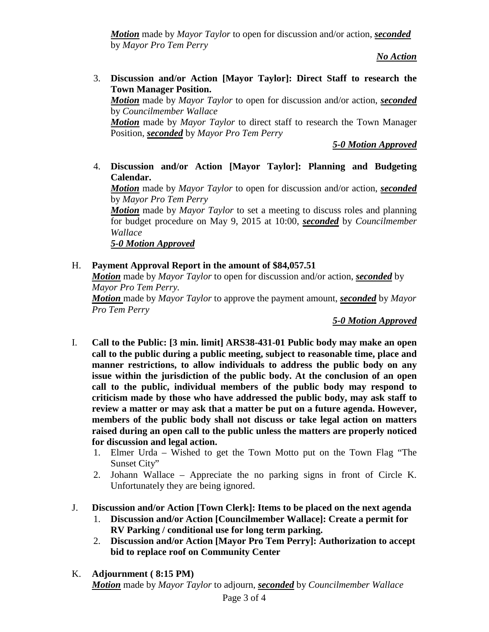*Motion* made by *Mayor Taylor* to open for discussion and/or action, *seconded* by *Mayor Pro Tem Perry*

*No Action*

3. **Discussion and/or Action [Mayor Taylor]: Direct Staff to research the Town Manager Position.**

*Motion* made by *Mayor Taylor* to open for discussion and/or action, *seconded* by *Councilmember Wallace*

*Motion* made by *Mayor Taylor* to direct staff to research the Town Manager Position, *seconded* by *Mayor Pro Tem Perry*

*5-0 Motion Approved*

4. **Discussion and/or Action [Mayor Taylor]: Planning and Budgeting Calendar.**

*Motion* made by *Mayor Taylor* to open for discussion and/or action, *seconded* by *Mayor Pro Tem Perry*

*Motion* made by *Mayor Taylor* to set a meeting to discuss roles and planning for budget procedure on May 9, 2015 at 10:00, *seconded* by *Councilmember Wallace*

*5-0 Motion Approved*

# H. **Payment Approval Report in the amount of \$84,057.51**

*Motion* made by *Mayor Taylor* to open for discussion and/or action, *seconded* by *Mayor Pro Tem Perry.*

*Motion* made by *Mayor Taylor* to approve the payment amount, *seconded* by *Mayor Pro Tem Perry*

*5-0 Motion Approved*

- I. **Call to the Public: [3 min. limit] ARS38-431-01 Public body may make an open call to the public during a public meeting, subject to reasonable time, place and manner restrictions, to allow individuals to address the public body on any issue within the jurisdiction of the public body. At the conclusion of an open call to the public, individual members of the public body may respond to criticism made by those who have addressed the public body, may ask staff to review a matter or may ask that a matter be put on a future agenda. However, members of the public body shall not discuss or take legal action on matters raised during an open call to the public unless the matters are properly noticed for discussion and legal action.**
	- 1. Elmer Urda Wished to get the Town Motto put on the Town Flag "The Sunset City"
	- 2. Johann Wallace Appreciate the no parking signs in front of Circle K. Unfortunately they are being ignored.
- J. **Discussion and/or Action [Town Clerk]: Items to be placed on the next agenda**
	- 1. **Discussion and/or Action [Councilmember Wallace]: Create a permit for RV Parking / conditional use for long term parking.**
	- 2. **Discussion and/or Action [Mayor Pro Tem Perry]: Authorization to accept bid to replace roof on Community Center**
- K. **Adjournment ( 8:15 PM)** *Motion* made by *Mayor Taylor* to adjourn, *seconded* by *Councilmember Wallace*